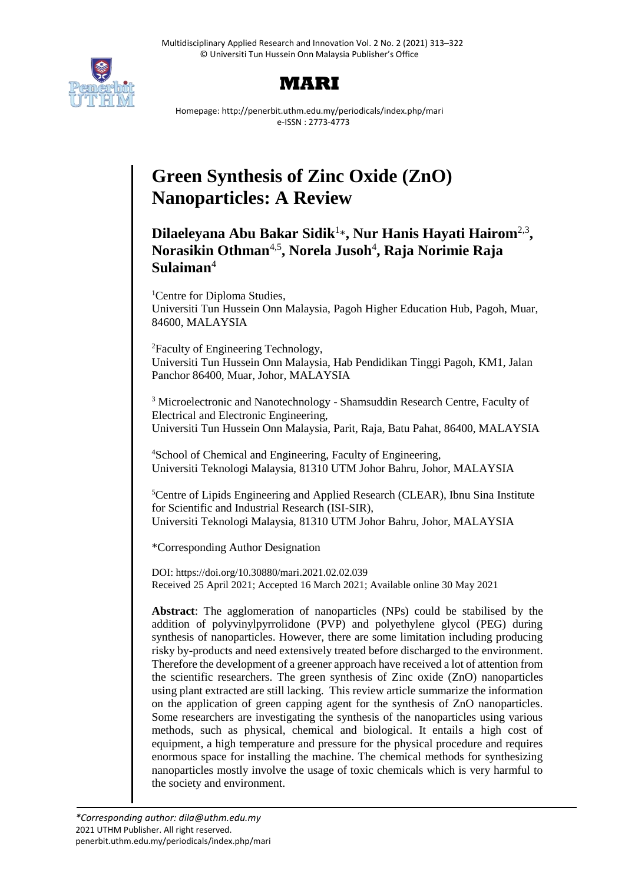



Homepage: http://penerbit.uthm.edu.my/periodicals/index.php/mari e-ISSN : 2773-4773

# **Green Synthesis of Zinc Oxide (ZnO) Nanoparticles: A Review**

# Dilaeleyana Abu Bakar Sidik<sup>1</sup>\*, Nur Hanis Hayati Hairom<sup>2,3</sup>, **Norasikin Othman**4,5 **, Norela Jusoh**<sup>4</sup> **, Raja Norimie Raja Sulaiman**<sup>4</sup>

<sup>1</sup>Centre for Diploma Studies, Universiti Tun Hussein Onn Malaysia, Pagoh Higher Education Hub, Pagoh, Muar, 84600, MALAYSIA

<sup>2</sup>Faculty of Engineering Technology, Universiti Tun Hussein Onn Malaysia, Hab Pendidikan Tinggi Pagoh, KM1, Jalan Panchor 86400, Muar, Johor, MALAYSIA

<sup>3</sup> Microelectronic and Nanotechnology - Shamsuddin Research Centre, Faculty of Electrical and Electronic Engineering, Universiti Tun Hussein Onn Malaysia, Parit, Raja, Batu Pahat, 86400, MALAYSIA

<sup>4</sup>School of Chemical and Engineering, Faculty of Engineering, Universiti Teknologi Malaysia, 81310 UTM Johor Bahru, Johor, MALAYSIA

<sup>5</sup>Centre of Lipids Engineering and Applied Research (CLEAR), Ibnu Sina Institute for Scientific and Industrial Research (ISI-SIR), Universiti Teknologi Malaysia, 81310 UTM Johor Bahru, Johor, MALAYSIA

\*Corresponding Author Designation

DOI: https://doi.org/10.30880/mari.2021.02.02.039 Received 25 April 2021; Accepted 16 March 2021; Available online 30 May 2021

**Abstract**: The agglomeration of nanoparticles (NPs) could be stabilised by the addition of polyvinylpyrrolidone (PVP) and polyethylene glycol (PEG) during synthesis of nanoparticles. However, there are some limitation including producing risky by-products and need extensively treated before discharged to the environment. Therefore the development of a greener approach have received a lot of attention from the scientific researchers. The green synthesis of Zinc oxide (ZnO) nanoparticles using plant extracted are still lacking. This review article summarize the information on the application of green capping agent for the synthesis of ZnO nanoparticles. Some researchers are investigating the synthesis of the nanoparticles using various methods, such as physical, chemical and biological. It entails a high cost of equipment, a high temperature and pressure for the physical procedure and requires enormous space for installing the machine. The chemical methods for synthesizing nanoparticles mostly involve the usage of toxic chemicals which is very harmful to the society and environment.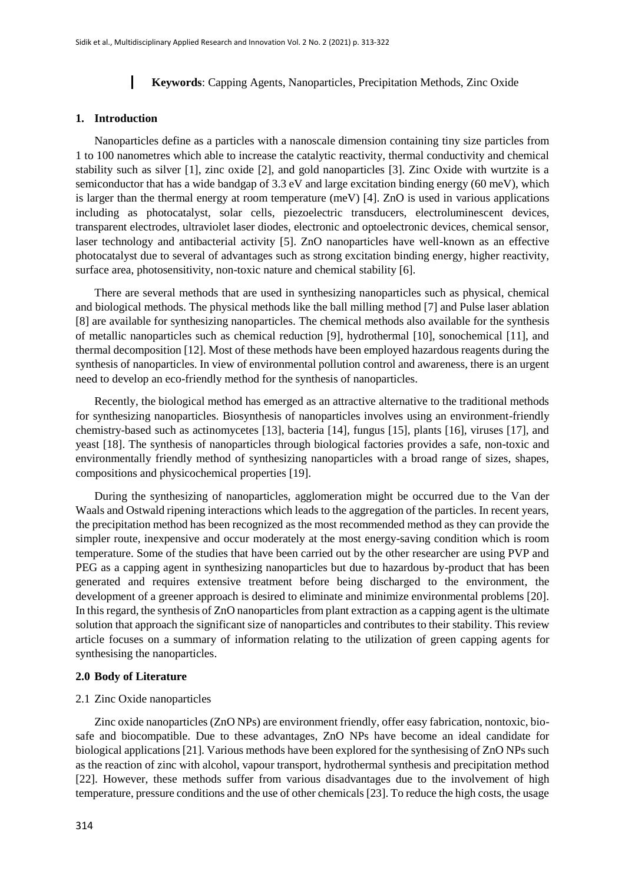#### **Keywords**: Capping Agents, Nanoparticles, Precipitation Methods, Zinc Oxide

#### **1. Introduction**

Nanoparticles define as a particles with a nanoscale dimension containing tiny size particles from 1 to 100 nanometres which able to increase the catalytic reactivity, thermal conductivity and chemical stability such as silver [1], zinc oxide [2], and gold nanoparticles [3]. Zinc Oxide with wurtzite is a semiconductor that has a wide bandgap of 3.3 eV and large excitation binding energy (60 meV), which is larger than the thermal energy at room temperature (meV) [4]. ZnO is used in various applications including as photocatalyst, solar cells, piezoelectric transducers, electroluminescent devices, transparent electrodes, ultraviolet laser diodes, electronic and optoelectronic devices, chemical sensor, laser technology and antibacterial activity [5]. ZnO nanoparticles have well-known as an effective photocatalyst due to several of advantages such as strong excitation binding energy, higher reactivity, surface area, photosensitivity, non-toxic nature and chemical stability [6].

There are several methods that are used in synthesizing nanoparticles such as physical, chemical and biological methods. The physical methods like the ball milling method [7] and Pulse laser ablation [8] are available for synthesizing nanoparticles. The chemical methods also available for the synthesis of metallic nanoparticles such as chemical reduction [9], hydrothermal [10], sonochemical [11], and thermal decomposition [12]. Most of these methods have been employed hazardous reagents during the synthesis of nanoparticles. In view of environmental pollution control and awareness, there is an urgent need to develop an eco-friendly method for the synthesis of nanoparticles.

Recently, the biological method has emerged as an attractive alternative to the traditional methods for synthesizing nanoparticles. Biosynthesis of nanoparticles involves using an environment-friendly chemistry-based such as actinomycetes [13], bacteria [14], fungus [15], plants [16], viruses [17], and yeast [18]. The synthesis of nanoparticles through biological factories provides a safe, non-toxic and environmentally friendly method of synthesizing nanoparticles with a broad range of sizes, shapes, compositions and physicochemical properties [19].

During the synthesizing of nanoparticles, agglomeration might be occurred due to the Van der Waals and Ostwald ripening interactions which leads to the aggregation of the particles. In recent years, the precipitation method has been recognized as the most recommended method as they can provide the simpler route, inexpensive and occur moderately at the most energy-saving condition which is room temperature. Some of the studies that have been carried out by the other researcher are using PVP and PEG as a capping agent in synthesizing nanoparticles but due to hazardous by-product that has been generated and requires extensive treatment before being discharged to the environment, the development of a greener approach is desired to eliminate and minimize environmental problems [20]. In this regard, the synthesis of ZnO nanoparticles from plant extraction as a capping agent is the ultimate solution that approach the significant size of nanoparticles and contributes to their stability. This review article focuses on a summary of information relating to the utilization of green capping agents for synthesising the nanoparticles.

#### **2.0 Body of Literature**

#### 2.1 Zinc Oxide nanoparticles

Zinc oxide nanoparticles (ZnO NPs) are environment friendly, offer easy fabrication, nontoxic, biosafe and biocompatible. Due to these advantages, ZnO NPs have become an ideal candidate for biological applications [21]. Various methods have been explored for the synthesising of ZnO NPs such as the reaction of zinc with alcohol, vapour transport, hydrothermal synthesis and precipitation method [22]. However, these methods suffer from various disadvantages due to the involvement of high temperature, pressure conditions and the use of other chemicals [23]. To reduce the high costs, the usage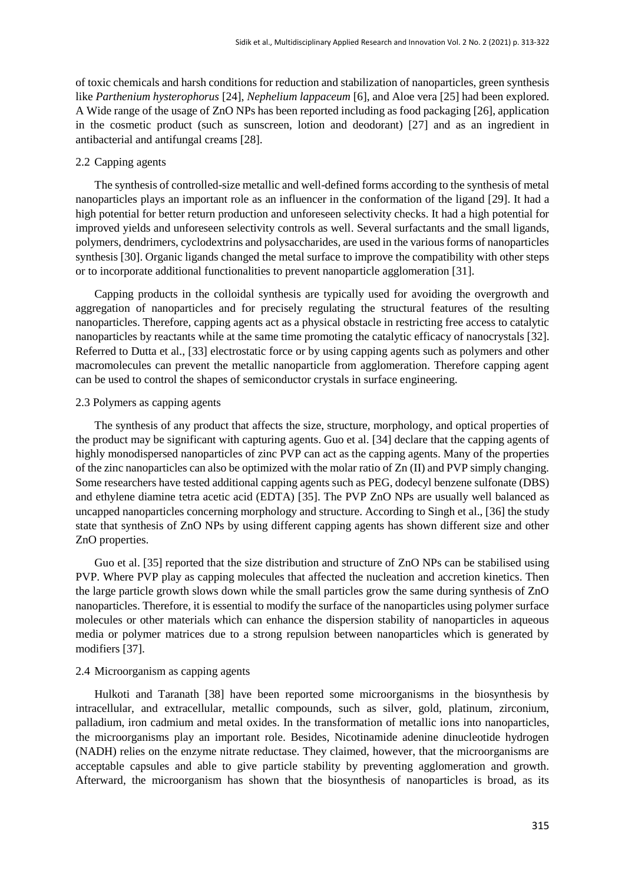of toxic chemicals and harsh conditions for reduction and stabilization of nanoparticles, green synthesis like *Parthenium hysterophorus* [24], *Nephelium lappaceum* [6], and Aloe vera [25] had been explored. A Wide range of the usage of ZnO NPs has been reported including as food packaging [26], application in the cosmetic product (such as sunscreen, lotion and deodorant) [27] and as an ingredient in antibacterial and antifungal creams [28].

#### 2.2 Capping agents

The synthesis of controlled-size metallic and well-defined forms according to the synthesis of metal nanoparticles plays an important role as an influencer in the conformation of the ligand [29]. It had a high potential for better return production and unforeseen selectivity checks. It had a high potential for improved yields and unforeseen selectivity controls as well. Several surfactants and the small ligands, polymers, dendrimers, cyclodextrins and polysaccharides, are used in the various forms of nanoparticles synthesis [30]. Organic ligands changed the metal surface to improve the compatibility with other steps or to incorporate additional functionalities to prevent nanoparticle agglomeration [31].

Capping products in the colloidal synthesis are typically used for avoiding the overgrowth and aggregation of nanoparticles and for precisely regulating the structural features of the resulting nanoparticles. Therefore, capping agents act as a physical obstacle in restricting free access to catalytic nanoparticles by reactants while at the same time promoting the catalytic efficacy of nanocrystals [32]. Referred to Dutta et al., [33] electrostatic force or by using capping agents such as polymers and other macromolecules can prevent the metallic nanoparticle from agglomeration. Therefore capping agent can be used to control the shapes of semiconductor crystals in surface engineering.

#### 2.3 Polymers as capping agents

The synthesis of any product that affects the size, structure, morphology, and optical properties of the product may be significant with capturing agents. Guo et al. [34] declare that the capping agents of highly monodispersed nanoparticles of zinc PVP can act as the capping agents. Many of the properties of the zinc nanoparticles can also be optimized with the molar ratio of Zn (II) and PVP simply changing. Some researchers have tested additional capping agents such as PEG, dodecyl benzene sulfonate (DBS) and ethylene diamine tetra acetic acid (EDTA) [35]. The PVP ZnO NPs are usually well balanced as uncapped nanoparticles concerning morphology and structure. According to Singh et al., [36] the study state that synthesis of ZnO NPs by using different capping agents has shown different size and other ZnO properties.

Guo et al. [35] reported that the size distribution and structure of ZnO NPs can be stabilised using PVP. Where PVP play as capping molecules that affected the nucleation and accretion kinetics. Then the large particle growth slows down while the small particles grow the same during synthesis of ZnO nanoparticles. Therefore, it is essential to modify the surface of the nanoparticles using polymer surface molecules or other materials which can enhance the dispersion stability of nanoparticles in aqueous media or polymer matrices due to a strong repulsion between nanoparticles which is generated by modifiers [37].

#### 2.4 Microorganism as capping agents

Hulkoti and Taranath [38] have been reported some microorganisms in the biosynthesis by intracellular, and extracellular, metallic compounds, such as silver, gold, platinum, zirconium, palladium, iron cadmium and metal oxides. In the transformation of metallic ions into nanoparticles, the microorganisms play an important role. Besides, Nicotinamide adenine dinucleotide hydrogen (NADH) relies on the enzyme nitrate reductase. They claimed, however, that the microorganisms are acceptable capsules and able to give particle stability by preventing agglomeration and growth. Afterward, the microorganism has shown that the biosynthesis of nanoparticles is broad, as its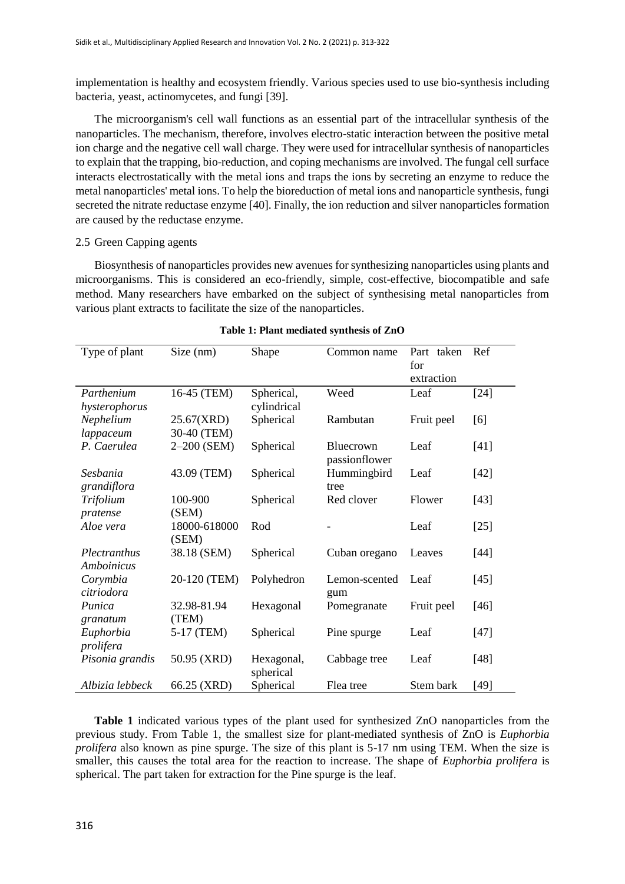implementation is healthy and ecosystem friendly. Various species used to use bio-synthesis including bacteria, yeast, actinomycetes, and fungi [39].

The microorganism's cell wall functions as an essential part of the intracellular synthesis of the nanoparticles. The mechanism, therefore, involves electro-static interaction between the positive metal ion charge and the negative cell wall charge. They were used for intracellular synthesis of nanoparticles to explain that the trapping, bio-reduction, and coping mechanisms are involved. The fungal cell surface interacts electrostatically with the metal ions and traps the ions by secreting an enzyme to reduce the metal nanoparticles' metal ions. To help the bioreduction of metal ions and nanoparticle synthesis, fungi secreted the nitrate reductase enzyme [40]. Finally, the ion reduction and silver nanoparticles formation are caused by the reductase enzyme.

#### 2.5 Green Capping agents

Biosynthesis of nanoparticles provides new avenues for synthesizing nanoparticles using plants and microorganisms. This is considered an eco-friendly, simple, cost-effective, biocompatible and safe method. Many researchers have embarked on the subject of synthesising metal nanoparticles from various plant extracts to facilitate the size of the nanoparticles.

| Type of plant   | Size (nm)    | Shape       | Common name   | Part taken | Ref    |
|-----------------|--------------|-------------|---------------|------------|--------|
|                 |              |             |               | for        |        |
|                 |              |             |               | extraction |        |
| Parthenium      | 16-45 (TEM)  | Spherical,  | Weed          | Leaf       | $[24]$ |
| hysterophorus   |              | cylindrical |               |            |        |
| Nephelium       | 25.67(XRD)   | Spherical   | Rambutan      | Fruit peel | [6]    |
| lappaceum       | 30-40 (TEM)  |             |               |            |        |
| P. Caerulea     | 2-200 (SEM)  | Spherical   | Bluecrown     | Leaf       | $[41]$ |
|                 |              |             | passionflower |            |        |
| Sesbania        | 43.09 (TEM)  | Spherical   | Hummingbird   | Leaf       | $[42]$ |
| grandiflora     |              |             | tree          |            |        |
| Trifolium       | 100-900      | Spherical   | Red clover    | Flower     | $[43]$ |
| pratense        | (SEM)        |             |               |            |        |
| Aloe vera       | 18000-618000 | Rod         |               | Leaf       | $[25]$ |
|                 | (SEM)        |             |               |            |        |
| Plectranthus    | 38.18 (SEM)  | Spherical   | Cuban oregano | Leaves     | $[44]$ |
| Amboinicus      |              |             |               |            |        |
| Corymbia        | 20-120 (TEM) | Polyhedron  | Lemon-scented | Leaf       | $[45]$ |
| citriodora      |              |             | gum           |            |        |
| Punica          | 32.98-81.94  | Hexagonal   | Pomegranate   | Fruit peel | $[46]$ |
| granatum        | (TEM)        |             |               |            |        |
| Euphorbia       | 5-17 (TEM)   | Spherical   | Pine spurge   | Leaf       | $[47]$ |
| prolifera       |              |             |               |            |        |
| Pisonia grandis | 50.95 (XRD)  | Hexagonal,  | Cabbage tree  | Leaf       | $[48]$ |
|                 |              | spherical   |               |            |        |
| Albizia lebbeck | 66.25 (XRD)  | Spherical   | Flea tree     | Stem bark  | $[49]$ |

#### **Table 1: Plant mediated synthesis of ZnO**

**Table 1** indicated various types of the plant used for synthesized ZnO nanoparticles from the previous study. From Table 1, the smallest size for plant-mediated synthesis of ZnO is *Euphorbia prolifera* also known as pine spurge. The size of this plant is 5-17 nm using TEM. When the size is smaller, this causes the total area for the reaction to increase. The shape of *Euphorbia prolifera* is spherical. The part taken for extraction for the Pine spurge is the leaf.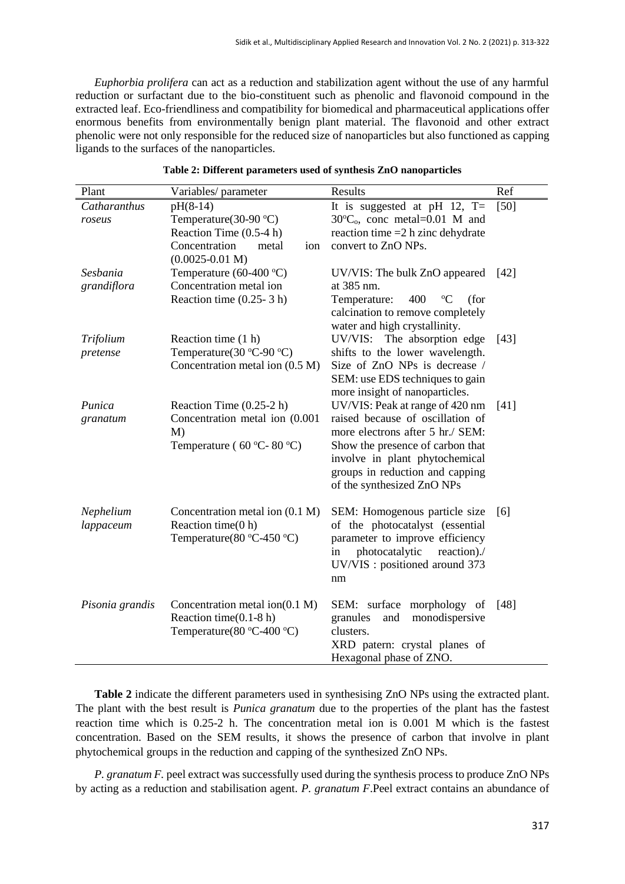*Euphorbia prolifera* can act as a reduction and stabilization agent without the use of any harmful reduction or surfactant due to the bio-constituent such as phenolic and flavonoid compound in the extracted leaf. Eco-friendliness and compatibility for biomedical and pharmaceutical applications offer enormous benefits from environmentally benign plant material. The flavonoid and other extract phenolic were not only responsible for the reduced size of nanoparticles but also functioned as capping ligands to the surfaces of the nanoparticles.

| Plant                   | Variables/parameter                                                                                             | Results                                                                                                                                                                                                                                        | Ref    |
|-------------------------|-----------------------------------------------------------------------------------------------------------------|------------------------------------------------------------------------------------------------------------------------------------------------------------------------------------------------------------------------------------------------|--------|
| Catharanthus<br>roseus  | $pH(8-14)$<br>Temperature(30-90 °C)<br>Reaction Time (0.5-4 h)                                                  | It is suggested at pH 12, $T=$<br>$30^{\circ}C_{o}$ , conc metal=0.01 M and<br>reaction time $=2$ h zinc dehydrate                                                                                                                             | [50]   |
|                         | Concentration<br>metal<br>ion<br>$(0.0025 - 0.01 M)$                                                            | convert to ZnO NPs.                                                                                                                                                                                                                            |        |
| Sesbania<br>grandiflora | Temperature (60-400 $\degree$ C)<br>Concentration metal ion                                                     | UV/VIS: The bulk ZnO appeared<br>at 385 nm.                                                                                                                                                                                                    | [42]   |
|                         | Reaction time $(0.25 - 3 h)$                                                                                    | Temperature:<br>400<br>$\rm ^{o}C$<br>(for<br>calcination to remove completely<br>water and high crystallinity.                                                                                                                                |        |
| Trifolium<br>pretense   | Reaction time (1 h)<br>Temperature( $30^{\circ}$ C-90 $^{\circ}$ C)<br>Concentration metal ion (0.5 M)          | UV/VIS: The absorption edge<br>shifts to the lower wavelength.<br>Size of ZnO NPs is decrease /<br>SEM: use EDS techniques to gain<br>more insight of nanoparticles.                                                                           | $[43]$ |
| Punica<br>granatum      | Reaction Time $(0.25-2 h)$<br>Concentration metal ion (0.001)<br>M)<br>Temperature (60 °C-80 °C)                | UV/VIS: Peak at range of 420 nm<br>raised because of oscillation of<br>more electrons after 5 hr./ SEM:<br>Show the presence of carbon that<br>involve in plant phytochemical<br>groups in reduction and capping<br>of the synthesized ZnO NPs | [41]   |
| Nephelium<br>lappaceum  | Concentration metal ion (0.1 M)<br>Reaction time(0 h)<br>Temperature( $80^{\circ}$ C-450 $^{\circ}$ C)          | SEM: Homogenous particle size<br>of the photocatalyst (essential<br>parameter to improve efficiency<br>photocatalytic<br>reaction)./<br>in<br>UV/VIS : positioned around 373<br>nm                                                             | [6]    |
| Pisonia grandis         | Concentration metal ion $(0.1 M)$<br>Reaction time $(0.1-8 h)$<br>Temperature( $80^{\circ}$ C-400 $^{\circ}$ C) | SEM: surface morphology of<br>granules<br>monodispersive<br>and<br>clusters.<br>XRD patern: crystal planes of<br>Hexagonal phase of ZNO.                                                                                                       | $[48]$ |

#### **Table 2: Different parameters used of synthesis ZnO nanoparticles**

**Table 2** indicate the different parameters used in synthesising ZnO NPs using the extracted plant. The plant with the best result is *Punica granatum* due to the properties of the plant has the fastest reaction time which is 0.25-2 h. The concentration metal ion is 0.001 M which is the fastest concentration. Based on the SEM results, it shows the presence of carbon that involve in plant phytochemical groups in the reduction and capping of the synthesized ZnO NPs.

*P. granatum F.* peel extract was successfully used during the synthesis process to produce ZnO NPs by acting as a reduction and stabilisation agent. *P. granatum F*.Peel extract contains an abundance of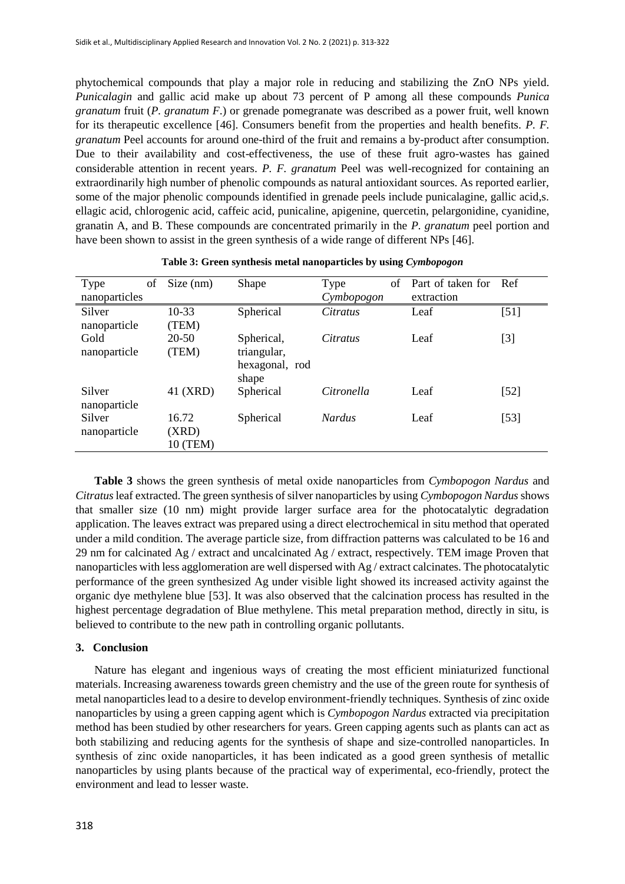phytochemical compounds that play a major role in reducing and stabilizing the ZnO NPs yield. *Punicalagin* and gallic acid make up about 73 percent of P among all these compounds *Punica granatum* fruit (*P. granatum F*.) or grenade pomegranate was described as a power fruit, well known for its therapeutic excellence [46]. Consumers benefit from the properties and health benefits. *P. F. granatum* Peel accounts for around one-third of the fruit and remains a by-product after consumption. Due to their availability and cost-effectiveness, the use of these fruit agro-wastes has gained considerable attention in recent years. *P. F. granatum* Peel was well-recognized for containing an extraordinarily high number of phenolic compounds as natural antioxidant sources. As reported earlier, some of the major phenolic compounds identified in grenade peels include punicalagine, gallic acid,s. ellagic acid, chlorogenic acid, caffeic acid, punicaline, apigenine, quercetin, pelargonidine, cyanidine, granatin A, and B. These compounds are concentrated primarily in the *P. granatum* peel portion and have been shown to assist in the green synthesis of a wide range of different NPs [46].

| Type<br>of<br>nanoparticles | Size (nm) | Shape          | Type<br>Cymbopogon | οf | Part of taken for<br>extraction | Ref    |
|-----------------------------|-----------|----------------|--------------------|----|---------------------------------|--------|
| Silver                      | $10-33$   | Spherical      | Citratus           |    | Leaf                            | $[51]$ |
| nanoparticle                | (TEM)     |                |                    |    |                                 |        |
| Gold                        | $20 - 50$ | Spherical,     | Citratus           |    | Leaf                            | $[3]$  |
| nanoparticle                | (TEM)     | triangular,    |                    |    |                                 |        |
|                             |           | hexagonal, rod |                    |    |                                 |        |
|                             |           | shape          |                    |    |                                 |        |
| Silver                      | 41 (XRD)  | Spherical      | Citronella         |    | Leaf                            | $[52]$ |
| nanoparticle                |           |                |                    |    |                                 |        |
| Silver                      | 16.72     | Spherical      | <i>Nardus</i>      |    | Leaf                            | $[53]$ |
| nanoparticle                | (XRD)     |                |                    |    |                                 |        |
|                             | 10 (TEM)  |                |                    |    |                                 |        |

**Table 3: Green synthesis metal nanoparticles by using** *Cymbopogon*

**Table 3** shows the green synthesis of metal oxide nanoparticles from *Cymbopogon Nardus* and *Citratus*leaf extracted. The green synthesis of silver nanoparticles by using *Cymbopogon Nardus* shows that smaller size (10 nm) might provide larger surface area for the photocatalytic degradation application. The leaves extract was prepared using a direct electrochemical in situ method that operated under a mild condition. The average particle size, from diffraction patterns was calculated to be 16 and 29 nm for calcinated Ag / extract and uncalcinated Ag / extract, respectively. TEM image Proven that nanoparticles with less agglomeration are well dispersed with Ag / extract calcinates. The photocatalytic performance of the green synthesized Ag under visible light showed its increased activity against the organic dye methylene blue [53]. It was also observed that the calcination process has resulted in the highest percentage degradation of Blue methylene. This metal preparation method, directly in situ, is believed to contribute to the new path in controlling organic pollutants.

#### **3. Conclusion**

Nature has elegant and ingenious ways of creating the most efficient miniaturized functional materials. Increasing awareness towards green chemistry and the use of the green route for synthesis of metal nanoparticles lead to a desire to develop environment-friendly techniques. Synthesis of zinc oxide nanoparticles by using a green capping agent which is *Cymbopogon Nardus* extracted via precipitation method has been studied by other researchers for years. Green capping agents such as plants can act as both stabilizing and reducing agents for the synthesis of shape and size-controlled nanoparticles. In synthesis of zinc oxide nanoparticles, it has been indicated as a good green synthesis of metallic nanoparticles by using plants because of the practical way of experimental, eco-friendly, protect the environment and lead to lesser waste.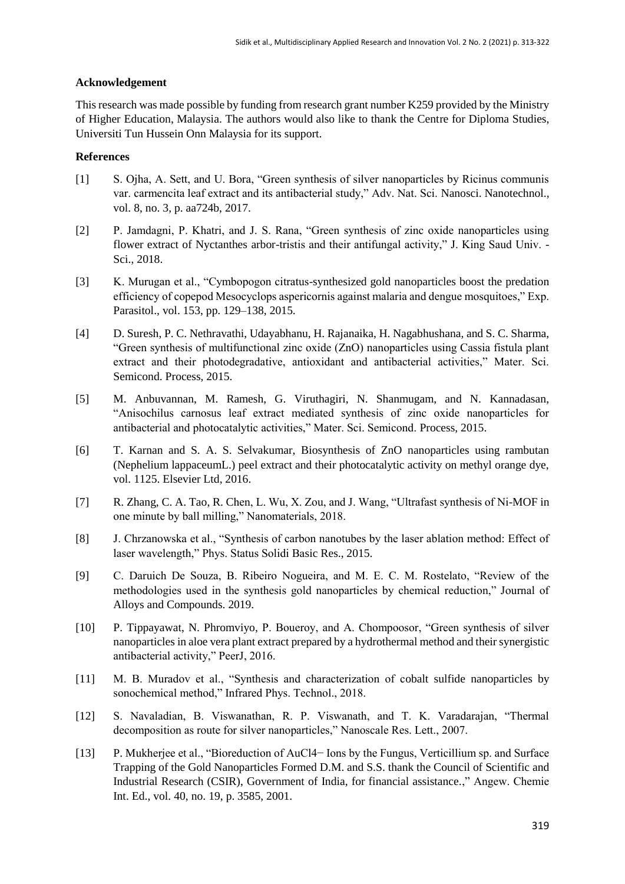### **Acknowledgement**

This research was made possible by funding from research grant number K259 provided by the Ministry of Higher Education, Malaysia. The authors would also like to thank the Centre for Diploma Studies, Universiti Tun Hussein Onn Malaysia for its support.

## **References**

- [1] S. Ojha, A. Sett, and U. Bora, "Green synthesis of silver nanoparticles by Ricinus communis var. carmencita leaf extract and its antibacterial study," Adv. Nat. Sci. Nanosci. Nanotechnol., vol. 8, no. 3, p. aa724b, 2017.
- [2] P. Jamdagni, P. Khatri, and J. S. Rana, "Green synthesis of zinc oxide nanoparticles using flower extract of Nyctanthes arbor-tristis and their antifungal activity," J. King Saud Univ. - Sci., 2018.
- [3] K. Murugan et al., "Cymbopogon citratus-synthesized gold nanoparticles boost the predation efficiency of copepod Mesocyclops aspericornis against malaria and dengue mosquitoes," Exp. Parasitol., vol. 153, pp. 129–138, 2015.
- [4] D. Suresh, P. C. Nethravathi, Udayabhanu, H. Rajanaika, H. Nagabhushana, and S. C. Sharma, "Green synthesis of multifunctional zinc oxide (ZnO) nanoparticles using Cassia fistula plant extract and their photodegradative, antioxidant and antibacterial activities," Mater. Sci. Semicond. Process, 2015.
- [5] M. Anbuvannan, M. Ramesh, G. Viruthagiri, N. Shanmugam, and N. Kannadasan, "Anisochilus carnosus leaf extract mediated synthesis of zinc oxide nanoparticles for antibacterial and photocatalytic activities," Mater. Sci. Semicond. Process, 2015.
- [6] T. Karnan and S. A. S. Selvakumar, Biosynthesis of ZnO nanoparticles using rambutan (Nephelium lappaceumL.) peel extract and their photocatalytic activity on methyl orange dye, vol. 1125. Elsevier Ltd, 2016.
- [7] R. Zhang, C. A. Tao, R. Chen, L. Wu, X. Zou, and J. Wang, "Ultrafast synthesis of Ni-MOF in one minute by ball milling," Nanomaterials, 2018.
- [8] J. Chrzanowska et al., "Synthesis of carbon nanotubes by the laser ablation method: Effect of laser wavelength," Phys. Status Solidi Basic Res., 2015.
- [9] C. Daruich De Souza, B. Ribeiro Nogueira, and M. E. C. M. Rostelato, "Review of the methodologies used in the synthesis gold nanoparticles by chemical reduction," Journal of Alloys and Compounds. 2019.
- [10] P. Tippayawat, N. Phromviyo, P. Boueroy, and A. Chompoosor, "Green synthesis of silver nanoparticles in aloe vera plant extract prepared by a hydrothermal method and their synergistic antibacterial activity," PeerJ, 2016.
- [11] M. B. Muradov et al., "Synthesis and characterization of cobalt sulfide nanoparticles by sonochemical method," Infrared Phys. Technol., 2018.
- [12] S. Navaladian, B. Viswanathan, R. P. Viswanath, and T. K. Varadarajan, "Thermal decomposition as route for silver nanoparticles," Nanoscale Res. Lett., 2007.
- [13] P. Mukherjee et al., "Bioreduction of AuCl4− Ions by the Fungus, Verticillium sp. and Surface Trapping of the Gold Nanoparticles Formed D.M. and S.S. thank the Council of Scientific and Industrial Research (CSIR), Government of India, for financial assistance.," Angew. Chemie Int. Ed., vol. 40, no. 19, p. 3585, 2001.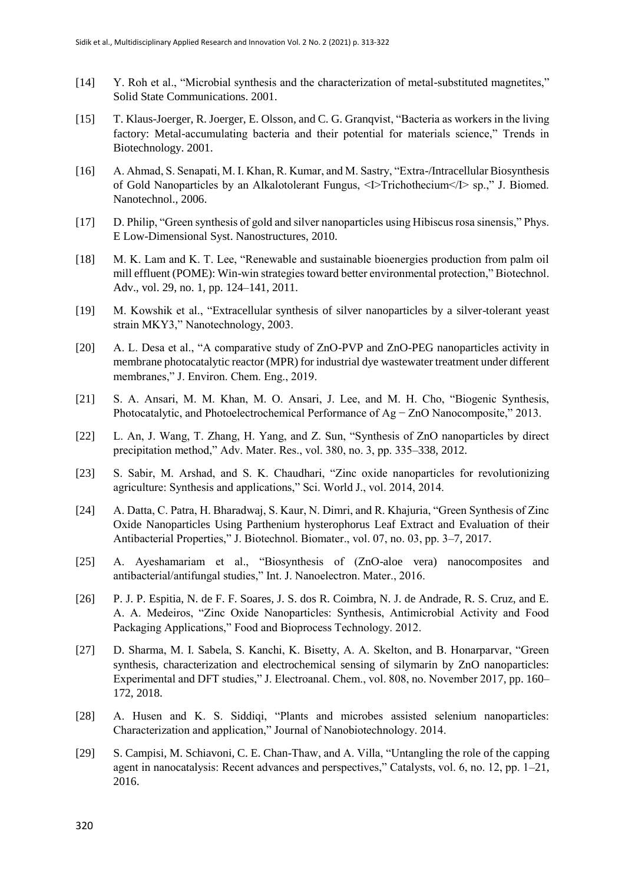- [14] Y. Roh et al., "Microbial synthesis and the characterization of metal-substituted magnetites," Solid State Communications. 2001.
- [15] T. Klaus-Joerger, R. Joerger, E. Olsson, and C. G. Granqvist, "Bacteria as workers in the living factory: Metal-accumulating bacteria and their potential for materials science," Trends in Biotechnology. 2001.
- [16] A. Ahmad, S. Senapati, M. I. Khan, R. Kumar, and M. Sastry, "Extra-/Intracellular Biosynthesis of Gold Nanoparticles by an Alkalotolerant Fungus, <I>Trichothecium</I> sp.," J. Biomed. Nanotechnol., 2006.
- [17] D. Philip, "Green synthesis of gold and silver nanoparticles using Hibiscus rosa sinensis," Phys. E Low-Dimensional Syst. Nanostructures, 2010.
- [18] M. K. Lam and K. T. Lee, "Renewable and sustainable bioenergies production from palm oil mill effluent (POME): Win-win strategies toward better environmental protection," Biotechnol. Adv., vol. 29, no. 1, pp. 124–141, 2011.
- [19] M. Kowshik et al., "Extracellular synthesis of silver nanoparticles by a silver-tolerant yeast strain MKY3," Nanotechnology, 2003.
- [20] A. L. Desa et al., "A comparative study of ZnO-PVP and ZnO-PEG nanoparticles activity in membrane photocatalytic reactor (MPR) for industrial dye wastewater treatment under different membranes," J. Environ. Chem. Eng., 2019.
- [21] S. A. Ansari, M. M. Khan, M. O. Ansari, J. Lee, and M. H. Cho, "Biogenic Synthesis, Photocatalytic, and Photoelectrochemical Performance of Ag − ZnO Nanocomposite," 2013.
- [22] L. An, J. Wang, T. Zhang, H. Yang, and Z. Sun, "Synthesis of ZnO nanoparticles by direct precipitation method," Adv. Mater. Res., vol. 380, no. 3, pp. 335–338, 2012.
- [23] S. Sabir, M. Arshad, and S. K. Chaudhari, "Zinc oxide nanoparticles for revolutionizing agriculture: Synthesis and applications," Sci. World J., vol. 2014, 2014.
- [24] A. Datta, C. Patra, H. Bharadwaj, S. Kaur, N. Dimri, and R. Khajuria, "Green Synthesis of Zinc Oxide Nanoparticles Using Parthenium hysterophorus Leaf Extract and Evaluation of their Antibacterial Properties," J. Biotechnol. Biomater., vol. 07, no. 03, pp. 3–7, 2017.
- [25] A. Ayeshamariam et al., "Biosynthesis of (ZnO-aloe vera) nanocomposites and antibacterial/antifungal studies," Int. J. Nanoelectron. Mater., 2016.
- [26] P. J. P. Espitia, N. de F. F. Soares, J. S. dos R. Coimbra, N. J. de Andrade, R. S. Cruz, and E. A. A. Medeiros, "Zinc Oxide Nanoparticles: Synthesis, Antimicrobial Activity and Food Packaging Applications," Food and Bioprocess Technology. 2012.
- [27] D. Sharma, M. I. Sabela, S. Kanchi, K. Bisetty, A. A. Skelton, and B. Honarparvar, "Green synthesis, characterization and electrochemical sensing of silymarin by ZnO nanoparticles: Experimental and DFT studies," J. Electroanal. Chem., vol. 808, no. November 2017, pp. 160– 172, 2018.
- [28] A. Husen and K. S. Siddiqi, "Plants and microbes assisted selenium nanoparticles: Characterization and application," Journal of Nanobiotechnology. 2014.
- [29] S. Campisi, M. Schiavoni, C. E. Chan-Thaw, and A. Villa, "Untangling the role of the capping agent in nanocatalysis: Recent advances and perspectives," Catalysts, vol. 6, no. 12, pp. 1–21, 2016.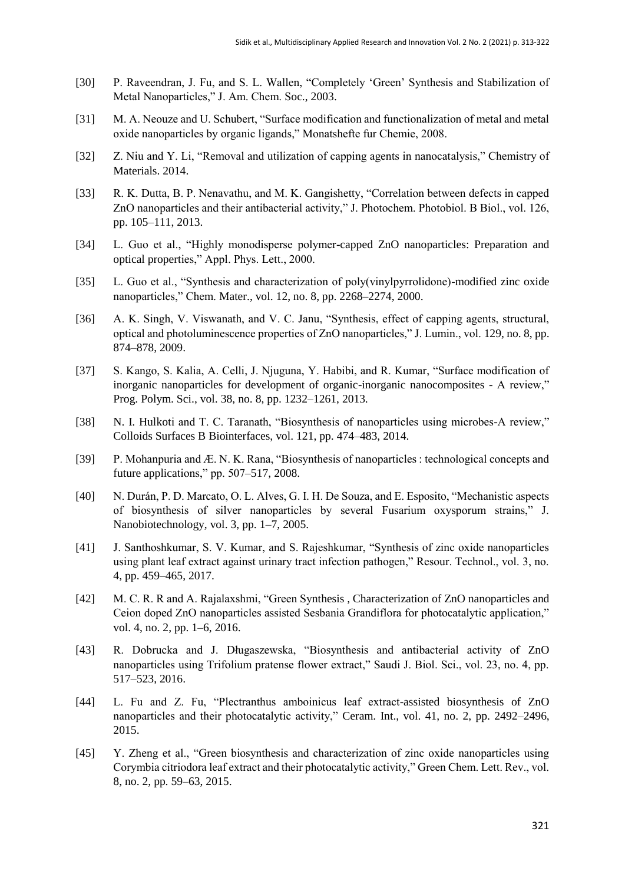- [30] P. Raveendran, J. Fu, and S. L. Wallen, "Completely 'Green' Synthesis and Stabilization of Metal Nanoparticles," J. Am. Chem. Soc., 2003.
- [31] M. A. Neouze and U. Schubert, "Surface modification and functionalization of metal and metal oxide nanoparticles by organic ligands," Monatshefte fur Chemie, 2008.
- [32] Z. Niu and Y. Li, "Removal and utilization of capping agents in nanocatalysis," Chemistry of Materials. 2014.
- [33] R. K. Dutta, B. P. Nenavathu, and M. K. Gangishetty, "Correlation between defects in capped ZnO nanoparticles and their antibacterial activity," J. Photochem. Photobiol. B Biol., vol. 126, pp. 105–111, 2013.
- [34] L. Guo et al., "Highly monodisperse polymer-capped ZnO nanoparticles: Preparation and optical properties," Appl. Phys. Lett., 2000.
- [35] L. Guo et al., "Synthesis and characterization of poly(vinylpyrrolidone)-modified zinc oxide nanoparticles," Chem. Mater., vol. 12, no. 8, pp. 2268–2274, 2000.
- [36] A. K. Singh, V. Viswanath, and V. C. Janu, "Synthesis, effect of capping agents, structural, optical and photoluminescence properties of ZnO nanoparticles," J. Lumin., vol. 129, no. 8, pp. 874–878, 2009.
- [37] S. Kango, S. Kalia, A. Celli, J. Njuguna, Y. Habibi, and R. Kumar, "Surface modification of inorganic nanoparticles for development of organic-inorganic nanocomposites - A review," Prog. Polym. Sci., vol. 38, no. 8, pp. 1232–1261, 2013.
- [38] N. I. Hulkoti and T. C. Taranath, "Biosynthesis of nanoparticles using microbes-A review," Colloids Surfaces B Biointerfaces, vol. 121, pp. 474–483, 2014.
- [39] P. Mohanpuria and Æ. N. K. Rana, "Biosynthesis of nanoparticles : technological concepts and future applications," pp. 507–517, 2008.
- [40] N. Durán, P. D. Marcato, O. L. Alves, G. I. H. De Souza, and E. Esposito, "Mechanistic aspects of biosynthesis of silver nanoparticles by several Fusarium oxysporum strains," J. Nanobiotechnology, vol. 3, pp. 1–7, 2005.
- [41] J. Santhoshkumar, S. V. Kumar, and S. Rajeshkumar, "Synthesis of zinc oxide nanoparticles using plant leaf extract against urinary tract infection pathogen," Resour. Technol., vol. 3, no. 4, pp. 459–465, 2017.
- [42] M. C. R. R and A. Rajalaxshmi, "Green Synthesis , Characterization of ZnO nanoparticles and Ceion doped ZnO nanoparticles assisted Sesbania Grandiflora for photocatalytic application," vol. 4, no. 2, pp. 1–6, 2016.
- [43] R. Dobrucka and J. Długaszewska, "Biosynthesis and antibacterial activity of ZnO nanoparticles using Trifolium pratense flower extract," Saudi J. Biol. Sci., vol. 23, no. 4, pp. 517–523, 2016.
- [44] L. Fu and Z. Fu, "Plectranthus amboinicus leaf extract-assisted biosynthesis of ZnO nanoparticles and their photocatalytic activity," Ceram. Int., vol. 41, no. 2, pp. 2492–2496, 2015.
- [45] Y. Zheng et al., "Green biosynthesis and characterization of zinc oxide nanoparticles using Corymbia citriodora leaf extract and their photocatalytic activity," Green Chem. Lett. Rev., vol. 8, no. 2, pp. 59–63, 2015.